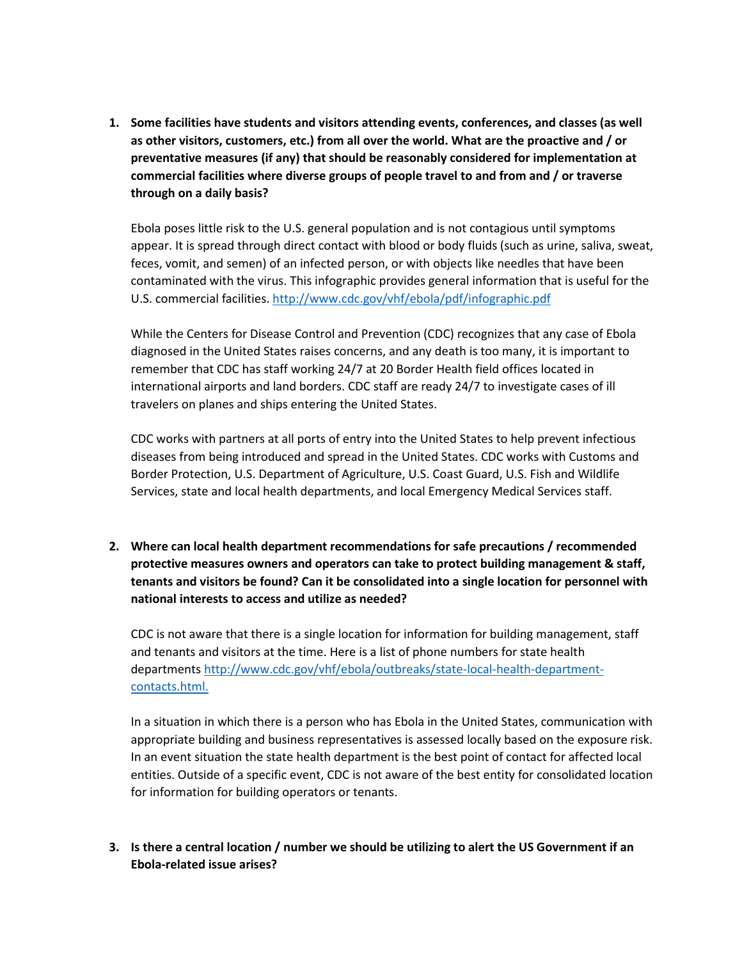**1. Some facilities have students and visitors attending events, conferences, and classes (as well as other visitors, customers, etc.) from all over the world. What are the proactive and / or preventative measures (if any) that should be reasonably considered for implementation at commercial facilities where diverse groups of people travel to and from and / or traverse through on a daily basis?** 

Ebola poses little risk to the U.S. general population and is not contagious until symptoms appear. It is spread through direct contact with blood or body fluids (such as urine, saliva, sweat, feces, vomit, and semen) of an infected person, or with objects like needles that have been contaminated with the virus. This infographic provides general information that is useful for the U.S. commercial facilities.<http://www.cdc.gov/vhf/ebola/pdf/infographic.pdf>

While the Centers for Disease Control and Prevention (CDC) recognizes that any case of Ebola diagnosed in the United States raises concerns, and any death is too many, it is important to remember that CDC has staff working 24/7 at 20 Border Health field offices located in international airports and land borders. CDC staff are ready 24/7 to investigate cases of ill travelers on planes and ships entering the United States.

CDC works with partners at all ports of entry into the United States to help prevent infectious diseases from being introduced and spread in the United States. CDC works with Customs and Border Protection, U.S. Department of Agriculture, U.S. Coast Guard, U.S. Fish and Wildlife Services, state and local health departments, and local Emergency Medical Services staff.

**2. Where can local health department recommendations for safe precautions / recommended protective measures owners and operators can take to protect building management & staff, tenants and visitors be found? Can it be consolidated into a single location for personnel with national interests to access and utilize as needed?** 

CDC is not aware that there is a single location for information for building management, staff and tenants and visitors at the time. Here is a list of phone numbers for state health departments [http://www.cdc.gov/vhf/ebola/outbreaks/state-local-health-department](http://www.cdc.gov/vhf/ebola/outbreaks/state-local-health-department-contacts.html.)[contacts.html.](http://www.cdc.gov/vhf/ebola/outbreaks/state-local-health-department-contacts.html.)

In a situation in which there is a person who has Ebola in the United States, communication with appropriate building and business representatives is assessed locally based on the exposure risk. In an event situation the state health department is the best point of contact for affected local entities. Outside of a specific event, CDC is not aware of the best entity for consolidated location for information for building operators or tenants.

# **3. Is there a central location / number we should be utilizing to alert the US Government if an Ebola-related issue arises?**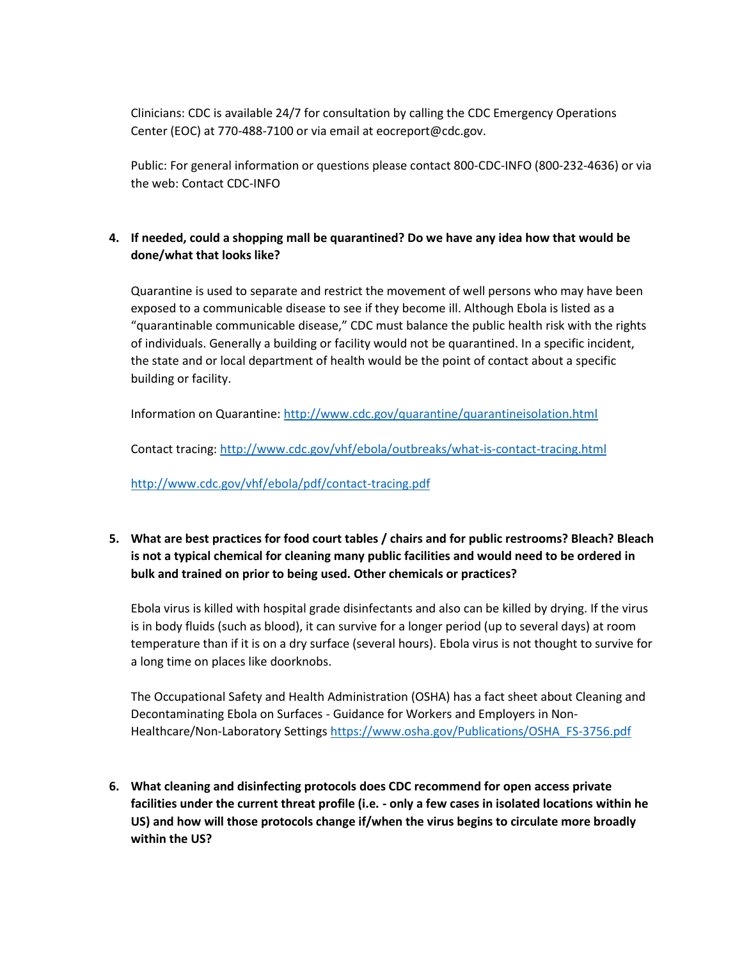Clinicians: CDC is available 24/7 for consultation by calling the CDC Emergency Operations Center (EOC) at 770-488-7100 or via email at eocreport@cdc.gov.

Public: For general information or questions please contact 800-CDC-INFO (800-232-4636) or via the web: Contact CDC-INFO

### **4. If needed, could a shopping mall be quarantined? Do we have any idea how that would be done/what that looks like?**

Quarantine is used to separate and restrict the movement of well persons who may have been exposed to a communicable disease to see if they become ill. Although Ebola is listed as a "quarantinable communicable disease," CDC must balance the public health risk with the rights of individuals. Generally a building or facility would not be quarantined. In a specific incident, the state and or local department of health would be the point of contact about a specific building or facility.

Information on Quarantine:<http://www.cdc.gov/quarantine/quarantineisolation.html>

Contact tracing[: http://www.cdc.gov/vhf/ebola/outbreaks/what-is-contact-tracing.html](http://www.cdc.gov/vhf/ebola/outbreaks/what-is-contact-tracing.html)

<http://www.cdc.gov/vhf/ebola/pdf/contact-tracing.pdf>

**5. What are best practices for food court tables / chairs and for public restrooms? Bleach? Bleach is not a typical chemical for cleaning many public facilities and would need to be ordered in bulk and trained on prior to being used. Other chemicals or practices?** 

Ebola virus is killed with hospital grade disinfectants and also can be killed by drying. If the virus is in body fluids (such as blood), it can survive for a longer period (up to several days) at room temperature than if it is on a dry surface (several hours). Ebola virus is not thought to survive for a long time on places like doorknobs.

The Occupational Safety and Health Administration (OSHA) has a fact sheet about Cleaning and Decontaminating Ebola on Surfaces - Guidance for Workers and Employers in Non-Healthcare/Non-Laboratory Setting[s https://www.osha.gov/Publications/OSHA\\_FS-3756.pdf](https://www.osha.gov/Publications/OSHA_FS-3756.pdf)

**6. What cleaning and disinfecting protocols does CDC recommend for open access private facilities under the current threat profile (i.e. - only a few cases in isolated locations within he US) and how will those protocols change if/when the virus begins to circulate more broadly within the US?**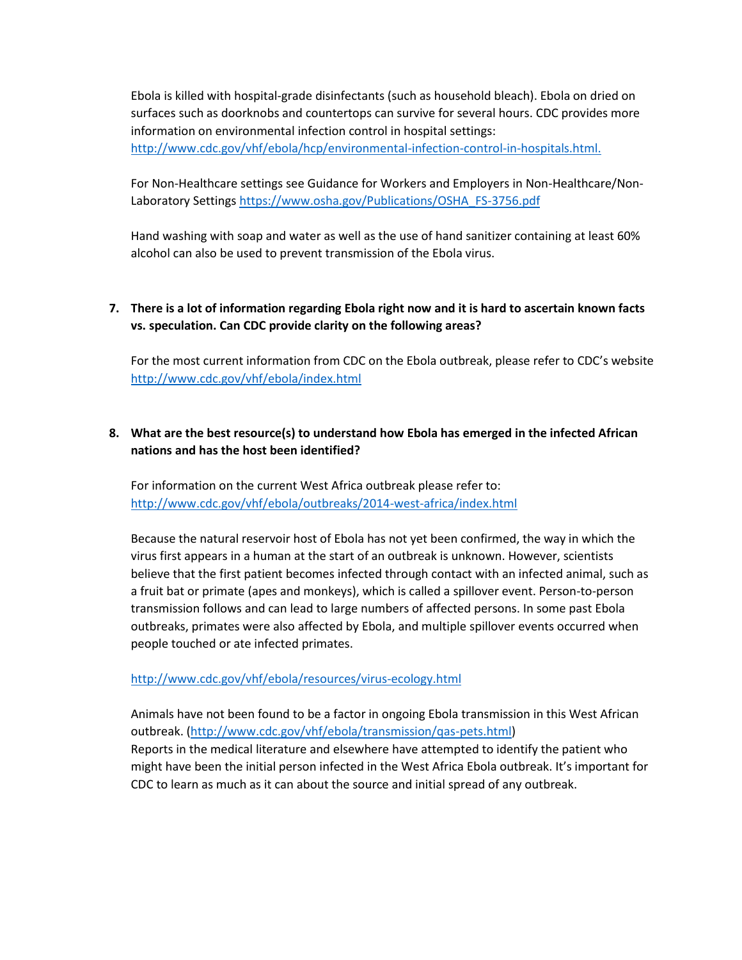Ebola is killed with hospital-grade disinfectants (such as household bleach). Ebola on dried on surfaces such as doorknobs and countertops can survive for several hours. CDC provides more information on environmental infection control in hospital settings: <http://www.cdc.gov/vhf/ebola/hcp/environmental-infection-control-in-hospitals.html.>

For Non-Healthcare settings see Guidance for Workers and Employers in Non-Healthcare/NonLaboratory Setting[s https://www.osha.gov/Publications/OSHA\\_FS-3756.pdf](https://www.osha.gov/Publications/OSHA_FS-3756.pdf)

Hand washing with soap and water as well as the use of hand sanitizer containing at least 60% alcohol can also be used to prevent transmission of the Ebola virus.

### **7. There is a lot of information regarding Ebola right now and it is hard to ascertain known facts vs. speculation. Can CDC provide clarity on the following areas?**

For the most current information from CDC on the Ebola outbreak, please refer to CDC's website <http://www.cdc.gov/vhf/ebola/index.html>

## **8. What are the best resource(s) to understand how Ebola has emerged in the infected African nations and has the host been identified?**

For information on the current West Africa outbreak please refer to: <http://www.cdc.gov/vhf/ebola/outbreaks/2014-west-africa/index.html>

Because the natural reservoir host of Ebola has not yet been confirmed, the way in which the virus first appears in a human at the start of an outbreak is unknown. However, scientists believe that the first patient becomes infected through contact with an infected animal, such as a fruit bat or primate (apes and monkeys), which is called a spillover event. Person-to-person transmission follows and can lead to large numbers of affected persons. In some past Ebola outbreaks, primates were also affected by Ebola, and multiple spillover events occurred when people touched or ate infected primates.

#### <http://www.cdc.gov/vhf/ebola/resources/virus-ecology.html>

Animals have not been found to be a factor in ongoing Ebola transmission in this West African outbreak. [\(http://www.cdc.gov/vhf/ebola/transmission/qas-pets.html\)](http://www.cdc.gov/vhf/ebola/transmission/qas-pets.html) Reports in the medical literature and elsewhere have attempted to identify the patient who might have been the initial person infected in the West Africa Ebola outbreak. It's important for CDC to learn as much as it can about the source and initial spread of any outbreak.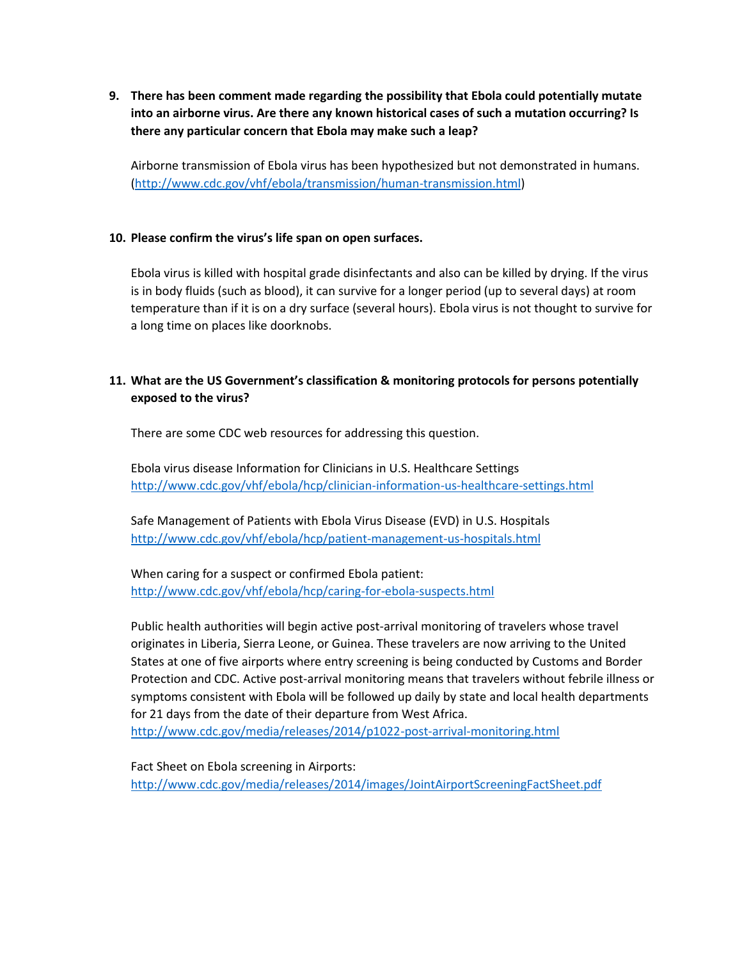**9. There has been comment made regarding the possibility that Ebola could potentially mutate into an airborne virus. Are there any known historical cases of such a mutation occurring? Is there any particular concern that Ebola may make such a leap?** 

Airborne transmission of Ebola virus has been hypothesized but not demonstrated in humans. [\(http://www.cdc.gov/vhf/ebola/transmission/human-transmission.html\)](http://www.cdc.gov/vhf/ebola/transmission/human-transmission.html)

#### **10. Please confirm the virus's life span on open surfaces.**

Ebola virus is killed with hospital grade disinfectants and also can be killed by drying. If the virus is in body fluids (such as blood), it can survive for a longer period (up to several days) at room temperature than if it is on a dry surface (several hours). Ebola virus is not thought to survive for a long time on places like doorknobs.

## **11. What are the US Government's classification & monitoring protocols for persons potentially exposed to the virus?**

There are some CDC web resources for addressing this question.

Ebola virus disease Information for Clinicians in U.S. Healthcare Settings <http://www.cdc.gov/vhf/ebola/hcp/clinician-information-us-healthcare-settings.html>

Safe Management of Patients with Ebola Virus Disease (EVD) in U.S. Hospitals <http://www.cdc.gov/vhf/ebola/hcp/patient-management-us-hospitals.html>

When caring for a suspect or confirmed Ebola patient: <http://www.cdc.gov/vhf/ebola/hcp/caring-for-ebola-suspects.html>

Public health authorities will begin active post-arrival monitoring of travelers whose travel originates in Liberia, Sierra Leone, or Guinea. These travelers are now arriving to the United States at one of five airports where entry screening is being conducted by Customs and Border Protection and CDC. Active post-arrival monitoring means that travelers without febrile illness or symptoms consistent with Ebola will be followed up daily by state and local health departments for 21 days from the date of their departure from West Africa. <http://www.cdc.gov/media/releases/2014/p1022-post-arrival-monitoring.html>

Fact Sheet on Ebola screening in Airports: <http://www.cdc.gov/media/releases/2014/images/JointAirportScreeningFactSheet.pdf>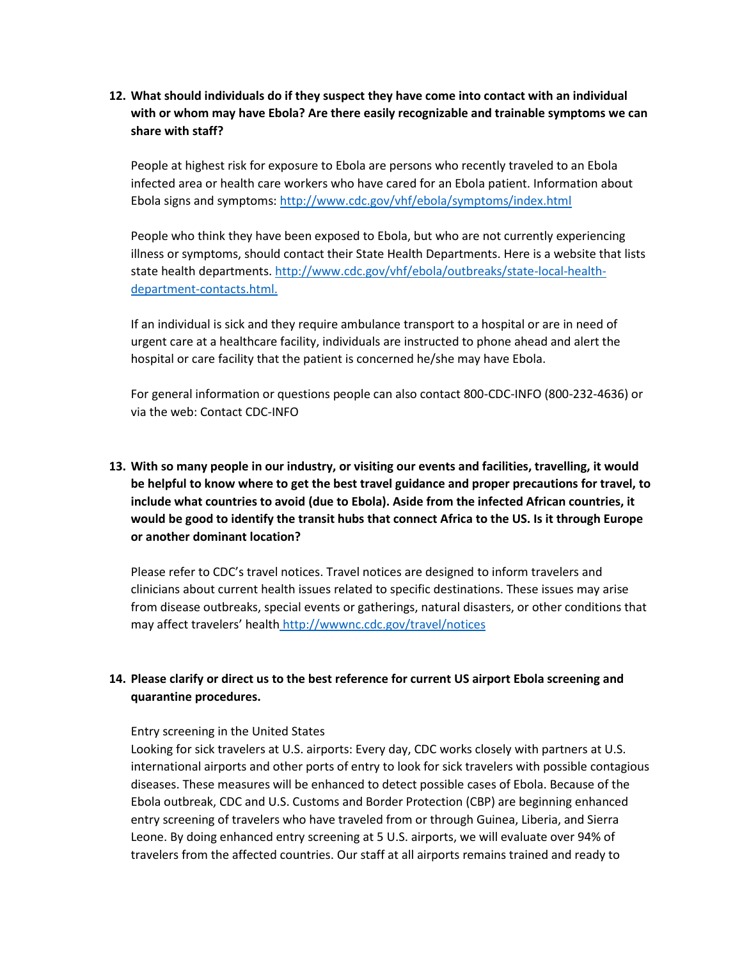**12. What should individuals do if they suspect they have come into contact with an individual with or whom may have Ebola? Are there easily recognizable and trainable symptoms we can share with staff?** 

People at highest risk for exposure to Ebola are persons who recently traveled to an Ebola infected area or health care workers who have cared for an Ebola patient. Information about Ebola signs and symptoms:<http://www.cdc.gov/vhf/ebola/symptoms/index.html>

People who think they have been exposed to Ebola, but who are not currently experiencing illness or symptoms, should contact their State Health Departments. Here is a website that lists state health departments. [http://www.cdc.gov/vhf/ebola/outbreaks/state-local-health](http://www.cdc.gov/vhf/ebola/outbreaks/state-local-health-department-contacts.html.)[department-contacts.html.](http://www.cdc.gov/vhf/ebola/outbreaks/state-local-health-department-contacts.html.)

If an individual is sick and they require ambulance transport to a hospital or are in need of urgent care at a healthcare facility, individuals are instructed to phone ahead and alert the hospital or care facility that the patient is concerned he/she may have Ebola.

For general information or questions people can also contact 800-CDC-INFO (800-232-4636) or via the web: Contact CDC-INFO

# **13. With so many people in our industry, or visiting our events and facilities, travelling, it would be helpful to know where to get the best travel guidance and proper precautions for travel, to include what countries to avoid (due to Ebola). Aside from the infected African countries, it would be good to identify the transit hubs that connect Africa to the US. Is it through Europe or another dominant location?**

Please refer to CDC's travel notices. Travel notices are designed to inform travelers and clinicians about current health issues related to specific destinations. These issues may arise from disease outbreaks, special events or gatherings, natural disasters, or other conditions that may affect travelers' health <http://wwwnc.cdc.gov/travel/notices>

# **14. Please clarify or direct us to the best reference for current US airport Ebola screening and quarantine procedures.**

#### Entry screening in the United States

Looking for sick travelers at U.S. airports: Every day, CDC works closely with partners at U.S. international airports and other ports of entry to look for sick travelers with possible contagious diseases. These measures will be enhanced to detect possible cases of Ebola. Because of the Ebola outbreak, CDC and U.S. Customs and Border Protection (CBP) are beginning enhanced entry screening of travelers who have traveled from or through Guinea, Liberia, and Sierra Leone. By doing enhanced entry screening at 5 U.S. airports, we will evaluate over 94% of travelers from the affected countries. Our staff at all airports remains trained and ready to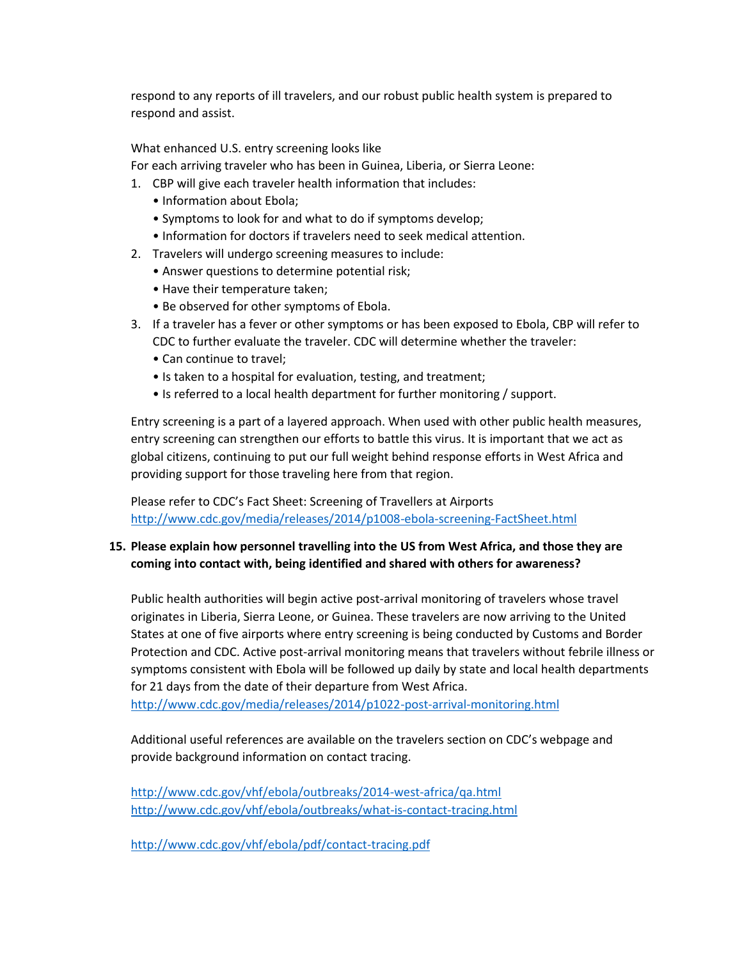respond to any reports of ill travelers, and our robust public health system is prepared to respond and assist.

What enhanced U.S. entry screening looks like

For each arriving traveler who has been in Guinea, Liberia, or Sierra Leone:

- 1. CBP will give each traveler health information that includes:
	- Information about Ebola;
	- Symptoms to look for and what to do if symptoms develop;
	- Information for doctors if travelers need to seek medical attention.
- 2. Travelers will undergo screening measures to include:
	- Answer questions to determine potential risk;
	- Have their temperature taken;
	- Be observed for other symptoms of Ebola.
- 3. If a traveler has a fever or other symptoms or has been exposed to Ebola, CBP will refer to CDC to further evaluate the traveler. CDC will determine whether the traveler:
	- Can continue to travel;
	- Is taken to a hospital for evaluation, testing, and treatment;
	- Is referred to a local health department for further monitoring / support.

Entry screening is a part of a layered approach. When used with other public health measures, entry screening can strengthen our efforts to battle this virus. It is important that we act as global citizens, continuing to put our full weight behind response efforts in West Africa and providing support for those traveling here from that region.

Please refer to CDC's Fact Sheet: Screening of Travellers at Airports <http://www.cdc.gov/media/releases/2014/p1008-ebola-screening-FactSheet.html>

### **15. Please explain how personnel travelling into the US from West Africa, and those they are coming into contact with, being identified and shared with others for awareness?**

Public health authorities will begin active post-arrival monitoring of travelers whose travel originates in Liberia, Sierra Leone, or Guinea. These travelers are now arriving to the United States at one of five airports where entry screening is being conducted by Customs and Border Protection and CDC. Active post-arrival monitoring means that travelers without febrile illness or symptoms consistent with Ebola will be followed up daily by state and local health departments for 21 days from the date of their departure from West Africa.

<http://www.cdc.gov/media/releases/2014/p1022-post-arrival-monitoring.html>

Additional useful references are available on the travelers section on CDC's webpage and provide background information on contact tracing.

<http://www.cdc.gov/vhf/ebola/outbreaks/2014-west-africa/qa.html> <http://www.cdc.gov/vhf/ebola/outbreaks/what-is-contact-tracing.html>

<http://www.cdc.gov/vhf/ebola/pdf/contact-tracing.pdf>